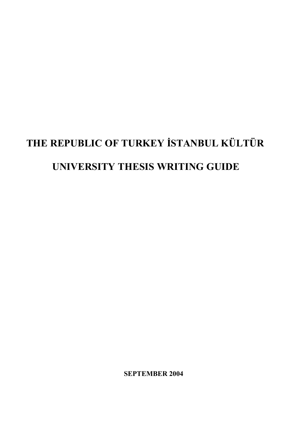# **THE REPUBLIC OF TURKEY İSTANBUL KÜLTÜR UNIVERSITY THESIS WRITING GUIDE**

**SEPTEMBER 2004**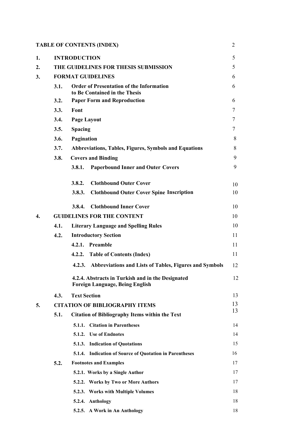|    |      | <b>TABLE OF CONTENTS (INDEX)</b>                                                            | $\overline{2}$ |  |
|----|------|---------------------------------------------------------------------------------------------|----------------|--|
| 1. |      | <b>INTRODUCTION</b>                                                                         | 5              |  |
| 2. |      | THE GUIDELINES FOR THESIS SUBMISSION                                                        |                |  |
| 3. |      | <b>FORMAT GUIDELINES</b>                                                                    | 6              |  |
|    | 3.1. | <b>Order of Presentation of the Information</b><br>to Be Contained in the Thesis            | 6              |  |
|    | 3.2. | <b>Paper Form and Reproduction</b>                                                          | 6              |  |
|    | 3.3. | Font                                                                                        | 7              |  |
|    | 3.4. | <b>Page Layout</b>                                                                          | 7              |  |
|    | 3.5. | <b>Spacing</b>                                                                              | 7              |  |
|    | 3.6. | Pagination                                                                                  | 8              |  |
|    | 3.7. | <b>Abbreviations, Tables, Figures, Symbols and Equations</b>                                | 8              |  |
|    | 3.8. | <b>Covers and Binding</b>                                                                   | 9              |  |
|    |      | <b>Paperbound Inner and Outer Covers</b><br>3.8.1.                                          | 9              |  |
|    |      | <b>Clothbound Outer Cover</b><br>3.8.2.                                                     | 10             |  |
|    |      | <b>Clothbound Outer Cover Spine Inscription</b><br>3.8.3.                                   | 10             |  |
|    |      | <b>Clothbound Inner Cover</b><br>3.8.4.                                                     | 10             |  |
| 4. |      | <b>GUIDELINES FOR THE CONTENT</b>                                                           | 10             |  |
|    | 4.1. | <b>Literary Language and Spelling Rules</b>                                                 | 10             |  |
|    | 4.2. | <b>Introductory Section</b>                                                                 | 11             |  |
|    |      | 4.2.1. Preamble                                                                             | 11             |  |
|    |      | 4.2.2. Table of Contents (Index)                                                            | 11             |  |
|    |      | 4.2.3. Abbreviations and Lists of Tables, Figures and Symbols                               | 12             |  |
|    |      | 4.2.4. Abstracts in Turkish and in the Designated<br><b>Foreign Language, Being English</b> | 12             |  |
|    | 4.3. | <b>Text Section</b>                                                                         | 13             |  |
| 5. |      | <b>CITATION OF BIBLIOGRAPHY ITEMS</b>                                                       | 13             |  |
|    | 5.1. | <b>Citation of Bibliography Items within the Text</b>                                       | 13             |  |
|    |      | 5.1.1. Citation in Parentheses                                                              | 14             |  |
|    |      | 5.1.2. Use of Endnotes                                                                      | 14             |  |
|    |      | 5.1.3. Indication of Quotations                                                             | 15             |  |
|    |      | 5.1.4. Indication of Source of Quotation in Parentheses                                     | 16             |  |
|    | 5.2. | <b>Footnotes and Examples</b>                                                               | 17             |  |
|    |      | 5.2.1. Works by a Single Author                                                             | 17             |  |
|    |      | 5.2.2. Works by Two or More Authors                                                         | 17             |  |
|    |      | 5.2.3. Works with Multiple Volumes                                                          | 18             |  |
|    |      | 5.2.4. Anthology                                                                            | 18             |  |

| . .                           |  |
|-------------------------------|--|
| 5.2.5. A Work in An Anthology |  |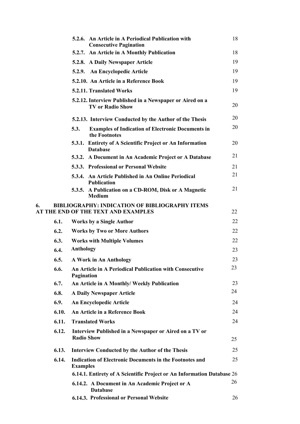|    |       |                                  | 5.2.6. An Article in A Periodical Publication with<br><b>Consecutive Pagination</b>          | 18 |
|----|-------|----------------------------------|----------------------------------------------------------------------------------------------|----|
|    |       |                                  | 5.2.7. An Article in A Monthly Publication                                                   | 18 |
|    |       |                                  | 5.2.8. A Daily Newspaper Article                                                             | 19 |
|    |       |                                  | 5.2.9. An Encyclopedic Article                                                               | 19 |
|    |       |                                  | 5.2.10. An Article in a Reference Book                                                       | 19 |
|    |       | 5.2.11. Translated Works         |                                                                                              | 19 |
|    |       |                                  | 5.2.12. Interview Published in a Newspaper or Aired on a<br><b>TV or Radio Show</b>          | 20 |
|    |       |                                  | 5.2.13. Interview Conducted by the Author of the Thesis                                      | 20 |
|    |       | 5.3.                             | <b>Examples of Indication of Electronic Documents in</b><br>the Footnotes                    | 20 |
|    |       | <b>Database</b>                  | 5.3.1. Entirety of A Scientific Project or An Information                                    | 20 |
|    |       |                                  | 5.3.2. A Document in An Academic Project or A Database                                       | 21 |
|    |       |                                  | 5.3.3. Professional or Personal Website                                                      | 21 |
|    |       | <b>Publication</b>               | 5.3.4. An Article Published in An Online Periodical                                          | 21 |
|    |       | <b>Medium</b>                    | 5.3.5. A Publication on a CD-ROM, Disk or A Magnetic                                         | 21 |
| 6. |       |                                  | <b>BIBLIOGRAPHY: INDICATION OF BIBLIOGRAPHY ITEMS</b><br>AT THE END OF THE TEXT AND EXAMPLES | 22 |
|    | 6.1.  | <b>Works by a Single Author</b>  |                                                                                              | 22 |
|    | 6.2.  |                                  | <b>Works by Two or More Authors</b>                                                          | 22 |
|    | 6.3.  |                                  | <b>Works with Multiple Volumes</b>                                                           | 22 |
|    | 6.4.  | <b>Anthology</b>                 |                                                                                              | 23 |
|    | 6.5.  | A Work in An Anthology           |                                                                                              | 23 |
|    | 6.6.  | Pagination                       | An Article in A Periodical Publication with Consecutive                                      | 23 |
|    | 6.7.  |                                  | An Article in A Monthly/ Weekly Publication                                                  | 23 |
|    | 6.8.  | <b>A Daily Newspaper Article</b> |                                                                                              | 24 |
|    | 6.9.  | <b>An Encyclopedic Article</b>   |                                                                                              | 24 |
|    | 6.10. |                                  | An Article in a Reference Book                                                               | 24 |
|    | 6.11. | <b>Translated Works</b>          |                                                                                              | 24 |
|    | 6.12. | <b>Radio Show</b>                | Interview Published in a Newspaper or Aired on a TV or                                       | 25 |
|    | 6.13. |                                  | <b>Interview Conducted by the Author of the Thesis</b>                                       | 25 |
|    | 6.14. | <b>Examples</b>                  | <b>Indication of Electronic Documents in the Footnotes and</b>                               | 25 |
|    |       |                                  | 6.14.1. Entirety of A Scientific Project or An Information Database 26                       |    |
|    |       | <b>Database</b>                  | 6.14.2. A Document in An Academic Project or A                                               | 26 |
|    |       |                                  | 6.14.3. Professional or Personal Website                                                     | 26 |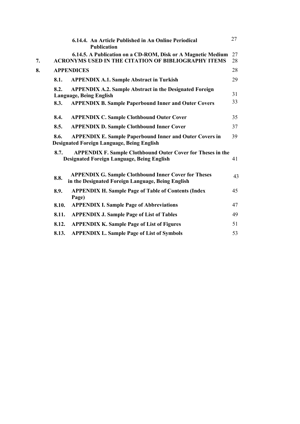|    |       | 6.14.4. An Article Published in An Online Periodical<br><b>Publication</b>                                                 | 27       |
|----|-------|----------------------------------------------------------------------------------------------------------------------------|----------|
| 7. |       | 6.14.5. A Publication on a CD-ROM, Disk or A Magnetic Medium<br><b>ACRONYMS USED IN THE CITATION OF BIBLIOGRAPHY ITEMS</b> | 27<br>28 |
| 8. |       | <b>APPENDICES</b>                                                                                                          | 28       |
|    | 8.1.  | <b>APPENDIX A.1. Sample Abstract in Turkish</b>                                                                            | 29       |
|    | 8.2.  | <b>APPENDIX A.2. Sample Abstract in the Designated Foreign</b><br><b>Language, Being English</b>                           | 31       |
|    | 8.3.  | <b>APPENDIX B. Sample Paperbound Inner and Outer Covers</b>                                                                | 33       |
|    | 8.4.  | <b>APPENDIX C. Sample Clothbound Outer Cover</b>                                                                           | 35       |
|    | 8.5.  | <b>APPENDIX D. Sample Clothbound Inner Cover</b>                                                                           | 37       |
|    | 8.6.  | <b>APPENDIX E. Sample Paperbound Inner and Outer Covers in</b><br><b>Designated Foreign Language, Being English</b>        | 39       |
|    | 8.7.  | <b>APPENDIX F. Sample Clothbound Outer Cover for Theses in the</b><br><b>Designated Foreign Language, Being English</b>    | 41       |
|    | 8.8.  | <b>APPENDIX G. Sample Clothbound Inner Cover for Theses</b><br>in the Designated Foreign Language, Being English           | 43       |
|    | 8.9.  | <b>APPENDIX H. Sample Page of Table of Contents (Index</b><br>Page)                                                        | 45       |
|    | 8.10. | <b>APPENDIX I. Sample Page of Abbreviations</b>                                                                            | 47       |
|    | 8.11. | <b>APPENDIX J. Sample Page of List of Tables</b>                                                                           | 49       |
|    | 8.12. | <b>APPENDIX K. Sample Page of List of Figures</b>                                                                          | 51       |
|    | 8.13. | <b>APPENDIX L. Sample Page of List of Symbols</b>                                                                          | 53       |
|    |       |                                                                                                                            |          |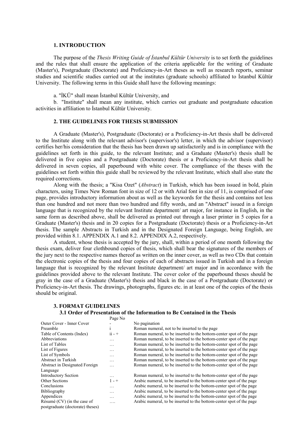#### **1. INTRODUCTION**

The purpose of the *Thesis Writing Guide of İstanbul Kültür University* is to set forth the guidelines and the rules that shall ensure the application of the criteria applicable for the writing of Graduate (Master's), Postgraduate (Doctorate) and Proficiency-in-Art theses as well as research reports, seminar studies and scientific studies carried out at the institutes (graduate schools) affiliated to İstanbul Kültür University. The following terms in this Guide shall have the following meanings:

a. "İKÜ" shall mean İstanbul Kültür University, and

b. "Institute" shall mean any institute, which carries out graduate and postgraduate education activities in affiliation to İstanbul Kültür University.

## **2. THE GUIDELINES FOR THESIS SUBMISSION**

A Graduate (Master's), Postgraduate (Doctorate) or a Proficiency-in-Art thesis shall be delivered to the Institute along with the relevant advisor's (supervisor's) letter, in which the advisor (supervisor) certifies her/his consideration that the thesis has been drawn up satisfactorily and is in compliance with the guidelines set forth in this guide, to the relevant Institute; and a Graduate (Master's) thesis shall be delivered in five copies and a Postgraduate (Doctorate) thesis or a Proficiency-in-Art thesis shall be delivered in seven copies, all paperbound with white cover. The compliance of the theses with the guidelines set forth within this guide shall be reviewed by the relevant Institute, which shall also state the required corrections.

Along with the thesis; a "Kisa Ozet" (*Abstract*) in Turkish, which has been issued in bold, plain characters, using Times New Roman font in size of 12 or with Arial font in size of 11, is comprised of one page, provides introductory information about as well as the keywords for the thesis and contains not less than one hundred and not more than two hundred and fifty words, and an "Abstract" issued in a foreign language that is recognized by the relevant Institute department/ art major, for instance in English, in the same form as described above, shall be delivered as printed out through a laser printer in 5 copies for a Graduate (Master's) thesis and in 20 copies for a Postgraduate (Doctorate) thesis or a Proficiency-in-Art thesis. The sample Abstracts in Turkish and in the Designated Foreign Language, being English, are provided within 8.1. APPENDIX A.1 and 8.2. APPENDIX A.2, respectively.

A student, whose thesis is accepted by the jury, shall, within a period of one month following the thesis exam, deliver four clothbound copies of thesis, which shall bear the signatures of the members of the jury next to the respective names thereof as written on the inner cover, as well as two CDs that contain the electronic copies of the thesis and four copies of each of abstracts issued in Turkish and in a foreign language that is recognized by the relevant Institute department/ art major and in accordance with the guidelines provided above to the relevant Institute. The cover color of the paperbound theses should be gray in the case of a Graduate (Master's) thesis and black in the case of a Postgraduate (Doctorate) or Proficiency-in-Art thesis. The drawings, photographs, figures etc. in at least one of the copies of the thesis should be original.

#### **3. FORMAT GUIDELINES 3.1 Order of Presentation of the Information to Be Contained in the Thesis** Page No

|                                  | $1 \mu$ <sub>5</sub> $\sigma$ $1 \nu$ |                                                                      |
|----------------------------------|---------------------------------------|----------------------------------------------------------------------|
| Outer Cover - Inner Cover        |                                       | No pagination                                                        |
| Preamble                         | 1                                     | Roman numeral, not to be inserted to the page                        |
| Table of Contents (Index)        | $ii - +$                              | Roman numeral, to be inserted to the bottom-center spot of the page  |
| Abbreviations                    | $\cdots$                              | Roman numeral, to be inserted to the bottom-center spot of the page  |
| List of Tables                   | .                                     | Roman numeral, to be inserted to the bottom-center spot of the page  |
| List of Figures                  | .                                     | Roman numeral, to be inserted to the bottom-center spot of the page  |
| List of Symbols                  | .                                     | Roman numeral, to be inserted to the bottom-center spot of the page  |
| Abstract in Turkish              | .                                     | Roman numeral, to be inserted to the bottom-center spot of the page  |
| Abstract in Designated Foreign   | .                                     | Roman numeral, to be inserted to the bottom-center spot of the page  |
| Language                         |                                       |                                                                      |
| <b>Introductory Section</b>      | $\cdots$                              | Roman numeral, to be inserted to the bottom-center spot of the page  |
| Other Sections                   | $1 - +$                               | Arabic numeral, to be inserted to the bottom-center spot of the page |
| Conclusions                      | .                                     | Arabic numeral, to be inserted to the bottom-center spot of the page |
| <b>Bibliography</b>              | $\cdots$                              | Arabic numeral, to be inserted to the bottom-center spot of the page |
| Appendices                       | .                                     | Arabic numeral, to be inserted to the bottom-center spot of the page |
| Résumé $(CV)$ (in the case of    | .                                     | Arabic numeral, to be inserted to the bottom-center spot of the page |
| postgraduate (doctorate) theses) |                                       |                                                                      |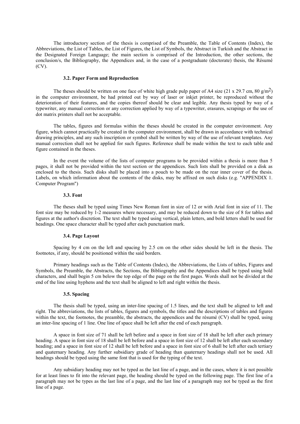The introductory section of the thesis is comprised of the Preamble, the Table of Contents (Index), the Abbreviations, the List of Tables, the List of Figures, the List of Symbols, the Abstract in Turkish and the Abstract in the Designated Foreign Language; the main section is comprised of the Introduction, the other sections, the conclusion/s, the Bibliography, the Appendices and, in the case of a postgraduate (doctorate) thesis, the Résumé (CV).

#### **3.2. Paper Form and Reproduction**

The theses should be written on one face of white high grade pulp paper of A4 size (21 x 29.7 cm, 80 g/m<sup>2</sup>) in the computer environment, be had printed out by way of laser or inkjet printer, be reproduced without the deterioration of their features, and the copies thereof should be clear and legible. Any thesis typed by way of a typewriter, any manual correction or any correction applied by way of a typewriter, erasures, scrapings or the use of dot matrix printers shall not be acceptable.

The tables, figures and formulas within the theses should be created in the computer environment. Any figure, which cannot practically be created in the computer environment, shall be drawn in accordance with technical drawing principles, and any such inscription or symbol shall be written by way of the use of relevant templates. Any manual correction shall not be applied for such figures. Reference shall be made within the text to each table and figure contained in the theses.

In the event the volume of the lists of computer programs to be provided within a thesis is more than 5 pages, it shall not be provided within the text section or the appendices. Such lists shall be provided on a disk as enclosed to the thesis. Such disks shall be placed into a pouch to be made on the rear inner cover of the thesis. Labels, on which information about the contents of the disks, may be affixed on such disks (e.g. "APPENDIX 1. Computer Program")

#### **3.3. Font**

The theses shall be typed using Times New Roman font in size of 12 or with Arial font in size of 11. The font size may be reduced by 1-2 measures where necessary, and may be reduced down to the size of 8 for tables and figures at the author's discretion. The text shall be typed using vertical, plain letters, and bold letters shall be used for headings. One space character shall be typed after each punctuation mark.

#### **3.4. Page Layout**

Spacing by 4 cm on the left and spacing by 2.5 cm on the other sides should be left in the thesis. The footnotes, if any, should be positioned within the said borders.

Primary headings such as the Table of Contents (Index), the Abbreviations, the Lists of tables, Figures and Symbols, the Preamble, the Abstracts, the Sections, the Bibliography and the Appendices shall be typed using bold characters, and shall begin 5 cm below the top edge of the page on the first pages. Words shall not be divided at the end of the line using hyphens and the text shall be aligned to left and right within the thesis.

# **3.5. Spacing**

The thesis shall be typed, using an inter-line spacing of 1.5 lines, and the text shall be aligned to left and right. The abbreviations, the lists of tables, figures and symbols, the titles and the descriptions of tables and figures within the text, the footnotes, the preamble, the abstracts, the appendices and the résumé (CV) shall be typed, using an inter-line spacing of 1 line. One line of space shall be left after the end of each paragraph.

A space in font size of 71 shall be left before and a space in font size of 18 shall be left after each primary heading. A space in font size of 18 shall be left before and a space in font size of 12 shall be left after each secondary heading; and a space in font size of 12 shall be left before and a space in font size of 6 shall be left after each tertiary and quaternary heading. Any further subsidiary grade of heading than quaternary headings shall not be used. All headings should be typed using the same font that is used for the typing of the text.

Any subsidiary heading may not be typed as the last line of a page, and in the cases, where it is not possible for at least lines to fit into the relevant page, the heading should be typed on the following page. The first line of a paragraph may not be types as the last line of a page, and the last line of a paragraph may not be typed as the first line of a page.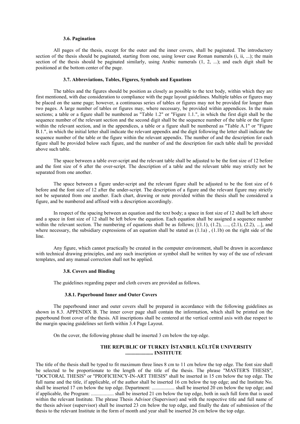#### **3.6. Pagination**

All pages of the thesis, except for the outer and the inner covers, shall be paginated. The introductory section of the thesis should be paginated, starting from one, using lower case Roman numerals (i, ii, ...); the main section of the thesis should be paginated similarly, using Arabic numerals (1, 2, ...); and each digit shall be positioned at the bottom center of the page.

#### **3.7. Abbreviations, Tables, Figures, Symbols and Equations**

The tables and the figures should be position as closely as possible to the text body, within which they are first mentioned, with due consideration to compliance with the page layout guidelines. Multiple tables or figures may be placed on the same page; however, a continuous series of tables or figures may not be provided for longer than two pages. A large number of tables or figures may, where necessary, be provided within appendices. In the main sections; a table or a figure shall be numbered as "Table 1.2" or "Figure 1.1.", in which the first digit shall be the sequence number of the relevant section and the second digit shall be the sequence number of the table or the figure within the relevant section, and in the appendices, a table or a figure shall be numbered as "Table A.1" or "Figure B.1.", in which the initial letter shall indicate the relevant appendix and the digit following the letter shall indicate the sequence number of the table or the figure within the relevant appendix. The number of and the description for each figure shall be provided below such figure, and the number of and the description for each table shall be provided above such table.

The space between a table over-script and the relevant table shall be adjusted to be the font size of 12 before and the font size of 6 after the over-script. The description of a table and the relevant table may strictly not be separated from one another.

The space between a figure under-script and the relevant figure shall be adjusted to be the font size of 6 before and the font size of 12 after the under-script. The description of a figure and the relevant figure may strictly not be separated from one another. Each chart, drawing or note provided within the thesis shall be considered a figure, and be numbered and affixed with a description accordingly.

In respect of the spacing between an equation and the text body; a space in font size of 12 shall be left above and a space in font size of 12 shall be left below the equation. Each equation shall be assigned a sequence number within the relevant section. The numbering of equations shall be as follows;  $[(1.1), (1.2), ..., (2.1), (2.2), ...]$ , and where necessary, the subsidiary expressions of an equation shall be stated as  $(1.1a)$ ,  $(1.1b)$  on the right side of the line.

Any figure, which cannot practically be created in the computer environment, shall be drawn in accordance with technical drawing principles, and any such inscription or symbol shall be written by way of the use of relevant templates, and any manual correction shall not be applied.

#### **3.8. Covers and Binding**

The guidelines regarding paper and cloth covers are provided as follows.

#### **3.8.1. Paperbound Inner and Outer Covers**

The paperbound inner and outer covers shall be prepared in accordance with the following guidelines as shown in 8.3. APPENDIX B. The inner cover page shall contain the information, which shall be printed on the paperbound front cover of the thesis. All inscriptions shall be centered at the vertical central axis with due respect to the margin spacing guidelines set forth within 3.4 Page Layout.

On the cover, the following phrase shall be inserted 3 cm below the top edge.

#### **THE REPUBLIC OF TURKEY İSTANBUL KÜLTÜR UNIVERSITY ...................... INSTITUTE**

The title of the thesis shall be typed to fit maximum three lines 8 cm to 11 cm below the top edge. The font size shall be selected to be proportionate to the length of the title of the thesis. The phrase "MASTER'S THESIS", "DOCTORAL THESIS" or "PROFICIENCY-IN-ART THESIS" shall be inserted in 15 cm below the top edge. The full name and the title, if applicable, of the author shall be inserted 16 cm below the top edge; and the Institute No. shall be inserted 17 cm below the top edge. Department: .................. shall be inserted 20 cm below the top edge; and if applicable, the Program: .................. shall be inserted 21 cm below the top edge, both in such full form that is used within the relevant Institute. The phrase Thesis Advisor (Supervisor) and with the respective title and full name of the thesis advisor (supervisor) shall be inserted 23 cm below the top edge, and finally the date of submission of the thesis to the relevant Institute in the form of month and year shall be inserted 26 cm below the top edge.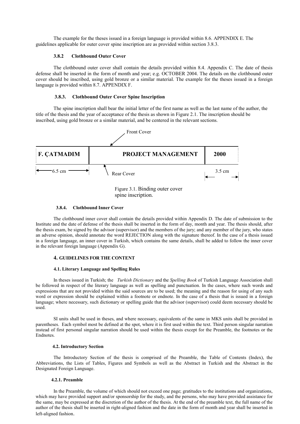The example for the theses issued in a foreign language is provided within 8.6. APPENDIX E. The guidelines applicable for outer cover spine inscription are as provided within section 3.8.3.

#### **3.8.2 Clothbound Outer Cover**

The clothbound outer cover shall contain the details provided within 8.4. Appendix C. The date of thesis defense shall be inserted in the form of month and year; e.g. OCTOBER 2004. The details on the clothbound outer cover should be inscribed, using gold bronze or a similar material. The example for the theses issued in a foreign language is provided within 8.7. APPENDIX F.

#### **3.8.3. Clothbound Outer Cover Spine Inscription**

The spine inscription shall bear the initial letter of the first name as well as the last name of the author, the title of the thesis and the year of acceptance of the thesis as shown in Figure 2.1. The inscription should be inscribed, using gold bronze or a similar material, and be centered in the relevant sections.



Figure 3.1. Binding outer cover spine inscription.

#### **3.8.4. Clothbound Inner Cover**

The clothbound inner cover shall contain the details provided within Appendix D. The date of submission to the Institute and the date of defense of the thesis shall be inserted in the form of day, month and year. The thesis should, after the thesis exam, be signed by the advisor (supervisor) and the members of the jury; and any member of the jury, who states an adverse opinion, should annotate the word REJECTION along with the signature thereof. In the case of a thesis issued in a foreign language, an inner cover in Turkish, which contains the same details, shall be added to follow the inner cover in the relevant foreign language (Appendix G).

#### **4. GUIDELINES FOR THE CONTENT**

#### **4.1. Literary Language and Spelling Rules**

In theses issued in Turkish; the *Turkish Dictionary* and the *Spelling Book* of Turkish Language Association shall be followed in respect of the literary language as well as spelling and punctuation. In the cases, where such words and expressions that are not provided within the said sources are to be used; the meaning and the reason for using of any such word or expression should be explained within a footnote or endnote. In the case of a thesis that is issued in a foreign language; where necessary, such dictionary or spelling guide that the advisor (supervisor) could deem necessary should be used.

SI units shall be used in theses, and where necessary, equivalents of the same in MKS units shall be provided in parentheses. Each symbol most be defined at the spot, where it is first used within the text. Third person singular narration instead of first personal singular narration should be used within the thesis except for the Preamble, the footnotes or the Endnotes.

#### **4.2. Introductory Section**

The Introductory Section of the thesis is comprised of the Preamble, the Table of Contents (Index), the Abbreviations, the Lists of Tables, Figures and Symbols as well as the Abstract in Turkish and the Abstract in the Designated Foreign Language.

#### **4.2.1. Preamble**

In the Preamble, the volume of which should not exceed one page; gratitudes to the institutions and organizations, which may have provided support and/or sponsorship for the study, and the persons, who may have provided assistance for the same, may be expressed at the discretion of the author of the thesis. At the end of the preamble text, the full name of the author of the thesis shall be inserted in right-aligned fashion and the date in the form of month and year shall be inserted in left-aligned fashion.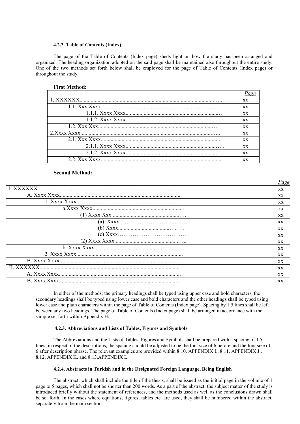#### **4.2.2. Table of Contents (Index)**

The page of the Table of Contents (Index page) sheds light on how the study has been arranged and organized. The heading organization adopted on the said page shall be maintained also throughout the entire study. One of the two methods set forth below shall be employed for the page of Table of Contents (Index page) or throughout the study.

# **First Method:**

| XX. |
|-----|
| XX. |
| XX. |
| XX. |
| XX. |
| XX. |
| XX. |
| XX. |
| XX. |
| XX. |

## **Second Method:**

|             | Page      |
|-------------|-----------|
| L XXXXXX    | XX        |
|             | XX        |
|             | XX        |
|             | XX        |
|             | XX        |
|             | XX.       |
|             | <b>XX</b> |
|             | <b>XX</b> |
|             | <b>XX</b> |
|             | XX        |
|             | XX        |
|             | <b>XX</b> |
| II. XXXXXX. | XX        |
|             | XX        |
|             | <b>XX</b> |
|             |           |

In either of the methods; the primary headings shall be typed using upper case and bold characters, the secondary headings shall be typed using lower case and bold characters and the other headings shall be typed using lower case and plain characters within the page of Table of Contents (Index page). Spacing by 1.5 lines shall be left between any two headings. The page of Table of Contents (Index page) shall be arranged in accordance with the sample set forth within Appendix H.

#### **4.2.3. Abbreviations and Lists of Tables, Figures and Symbols**

The Abbreviations and the Lists of Tables, Figures and Symbols shall be prepared with a spacing of 1.5 lines; in respect of the descriptions, the spacing should be adjusted to be the font size of 6 before and the font size of 6 after description phrase. The relevant examples are provided within 8.10. APPENDIX I., 8.11. APPENDIX J., 8.12. APPENDIX K. and 8.13.APPENDIX L.

#### **4.2.4. Abstracts in Turkish and in the Designated Foreign Language, Being English**

The abstract, which shall include the title of the thesis, shall be issued as the initial page in the volume of 1 page to 5 pages, which shall not be shorter than 200 words. As a part of the abstract; the subject matter of the study is introduced briefly without the statement of references, and the methods used as well as the conclusions drawn shall be set forth. In the cases where equations, figures, tables etc. are used, they shall be numbered within the abstract, separately from the main sections.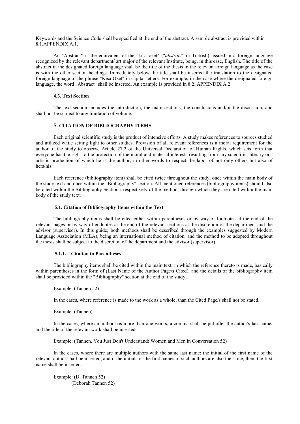Keywords and the Science Code shall be specified at the end of the abstract. A sample abstract is provided within 8.1.APPENDIX A.1.

An "Abstract" is the equivalent of the "kisa ozet" ("*abstract*" in Turkish), issued in a foreign language recognized by the relevant department/ art major of the relevant Institute, being, in this case, English. The title of the abstract in the designated foreign language shall be the title of the thesis in the relevant foreign language as the case is with the other section headings. Immediately below the title shall be inserted the translation to the designated foreign language of the phrase "Kisa Ozet" in capital letters. For example, in the case where the designated foreign language, the word "Abstract" shall be inserted. An example is provided in 8.2. APPENDIX A.2.

#### **4.3. Text Section**

The text section includes the introduction, the main sections, the conclusions and/or the discussion, and shall not be subject to any limitation of volume.

# **5. CITATION OF BIBLIOGRAPHY ITEMS**

Each original scientific study is the product of intensive efforts. A study makes references to sources studied and utilized while setting light to other studies. Provision of all relevant references is a moral requirement for the author of the study to observe Article 27.2 of the Universal Declaration of Human Rights, which sets forth that everyone has the right to the protection of the moral and material interests resulting from any scientific, literary or artistic production of which he is the author, in other words to respect the labor of not only others but also of hers/his.

Each reference (bibliography item) shall be cited twice throughout the study, once within the main body of the study text and once within the "Bibliography" section. All mentioned references (bibliography items) should also be cited within the Bibliography Section irrespectively of the method, through which they are cited within the main body of the study text.

#### **5.1. Citation of Bibliography Items within the Text**

The bibliography items shall be cited either within parentheses or by way of footnotes at the end of the relevant pages or by way of endnotes at the end of the relevant sections at the discretion of the department and the advisor (supervisor). In this guide; both methods shall be described through the examples suggested by Modern Language Association (MLA), being an international method of citation, and the method to be adopted throughout the thesis shall be subject to the discretion of the department and the advisor (supervisor).

#### **5.1.1. Citation in Parentheses**

The bibliography items shall be cited within the main text, in which the reference thereto is made, basically within parentheses in the form of (Last Name of the Author Page/s Cited), and the details of the bibliography item shall be provided within the "Bibliography" section at the end of the study.

Example: (Tannen 52)

In the cases, where reference is made to the work as a whole, than the Cited Page/s shall not be stated.

Example: (Tannen)

In the cases, where an author has more than one works; a comma shall be put after the author's last name, and the title of the relevant work shall be inserted.

Example: (Tannen, You Just Don't Understand: Women and Men in Conversation 52)

In the cases, where there are multiple authors with the same last name; the initial of the first name of the relevant author shall be inserted, and if the initials of the first names of such authors are also the same, then, the first name shall be inserted.

Example: (D. Tannen 52) (Deborah Tannen 52)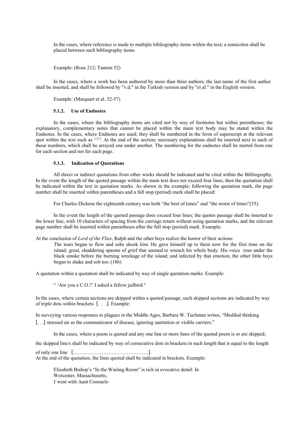In the cases, where reference is made to multiple bibliography items within the text; a semicolon shall be placed between such bibliography items.

Example: (Rose 212; Tannen 52)

In the cases, where a work has been authored by more than three authors; the last name of the first author shall be inserted, and shall be followed by "v.d." in the Turkish version and by "et al." in the English version.

Example: (Marquart et al. 52-57)

#### **5.1.2. Use of Endnotes**

In the cases, where the bibliography items are cited not by way of footnotes but within parentheses; the explanatory, complementary notes that cannot be placed within the main text body may be stated within the Endnotes. In the cases, where Endnotes are used; they shall be numbered in the form of superscript at the relevant spot within the text such as  $1,2,3$ . At the end of the section; necessary explanations shall be inserted next to each of those numbers, which shall be arrayed one under another. The numbering for the endnotes shall be started from one for each section and not for each page.

#### **5.1.3. Indication of Quotations**

All direct or indirect quotations from other works should be indicated and be cited within the Bibliography. In the event the length of the quoted passage within the main text does not exceed four lines, then the quotation shall be indicated within the text in quotation marks. As shown in the example; following the quotation mark, the page number shall be inserted within parentheses and a full stop (period) mark shall be placed:

For Charles Dickens the eighteenth century was both "the best of times" and "the worst of times"(35).

In the event the length of the quoted passage does exceed four lines; the quotes passage shall be inserted to the lower line, with 10 characters of spacing from the carriage return without using quotation marks, and the relevant page number shall be inserted within parentheses after the full stop (period) mark. Example:

At the conclusion of *Lord of the Flies*, Ralph and the other boys realize the horror of their actions:

The tears began to flow and sobs shook him. He gave himself up to them now for the first time on the island; great, shuddering spasms of grief that seemed to wrench his whole body. His voice rose under the black smoke before the burning wreckage of the island; and infected by that emotion, the other little boys began to shake and sob too. (186)

A quotation within a quotation shall be indicated by way of single quotation marks. Example:

" 'Are you a C.O.?' I asked a fellow jailbird."

In the cases, where certain sections are skipped within a quoted passage, such skipped sections are indicated by way of triple dots within brackets [. . .]. Example:

In surveying various responses to plagues in the Middle Ages, Barbara W. Tuchman writes, "Medikal thinking [. . .] stressed air as the communicator of disease, ignoring sanitation or visible carriers."

In the cases, where a poem is quoted and any one line or more lines of the quoted poem is or are skipped;

the skipped line/s shall be indicated by way of consecutive dots in brackets in such length that is equal to the length

of only one line [………………………………………]. At the end of the quotation, the lines quoted shall be indicated in brackets. Example:

> Elizabeth Bishop's "In the Waiting Room" is rich in evocative detail: In Worcester, Massachusetts, I went with Aunt Consuelo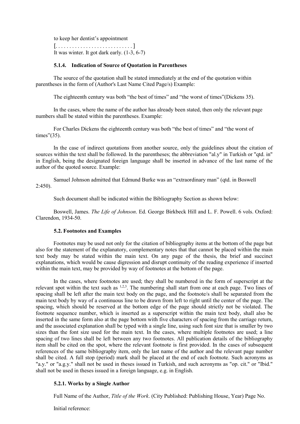to keep her dentist's appointment [. . . . . . . . . . . . . . . . . . . . . . . . . . . . ] It was winter. It got dark early. (1-3, 6-7)

# **5.1.4. Indication of Source of Quotation in Parentheses**

The source of the quotation shall be stated immediately at the end of the quotation within parentheses in the form of (Author's Last Name Cited Page/s) Example:

The eighteenth century was both "the best of times" and "the worst of times"(Dickens 35).

In the cases, where the name of the author has already been stated, then only the relevant page numbers shall be stated within the parentheses. Example:

For Charles Dickens the eighteenth century was both "the best of times" and "the worst of times"(35).

In the case of indirect quotations from another source, only the guidelines about the citation of sources within the text shall be followed. In the parentheses; the abbreviation "al.y" in Turkish or "qtd. in" in English, being the designated foreign language shall be inserted in advance of the last name of the author of the quoted source. Example:

2:450). Samuel Johnson admitted that Edmund Burke was an "extraordinary man" (qtd. in Boswell

Such document shall be indicated within the Bibliography Section as shown below:

Boswell, James. *The Life of Johnson*. Ed. George Birkbeck Hill and L. F. Powell. 6 vols. Oxford: Clarendon, 1934-50.

#### **5.2. Footnotes and Examples**

Footnotes may be used not only for the citation of bibliography items at the bottom of the page but also for the statement of the explanatory, complementary notes that that cannot be placed within the main text body may be stated within the main text. On any page of the thesis, the brief and succinct explanations, which would be cause digression and disrupt continuity of the reading experience if inserted within the main text, may be provided by way of footnotes at the bottom of the page.

In the cases, where footnotes are used; they shall be numbered in the form of superscript at the relevant spot within the text such as <sup>1,2,3</sup>. The numbering shall start from one at each page. Two lines of spacing shall be left after the main text body on the page, and the footnote/s shall be separated from the main text body by way of a continuous line to be drawn from left to right until the center of the page. The spacing, which should be reserved at the bottom edge of the page should strictly not be violated. The footnote sequence number, which is inserted as a superscript within the main text body, shall also be inserted in the same form also at the page bottom with five characters of spacing from the carriage return, and the associated explanation shall be typed with a single line, using such font size that is smaller by two sizes than the font size used for the main text. In the cases, where multiple footnotes are used; a line spacing of two lines shall be left between any two footnotes. All publication details of the bibliography item shall be cited on the spot, where the relevant footnote is first provided. In the cases of subsequent references of the same bibliography item, only the last name of the author and the relevant page number shall be cited. A full stop (period) mark shall be placed at the end of each footnote. Such acronyms as "a.y." or "a.g.y." shall not be used in theses issued in Turkish, and such acronyms as "op. cit." or "Ibid." shall not be used in theses issued in a foreign language, e.g. in English.

# **5.2.1. Works by a Single Author**

Full Name of the Author, *Title of the Work*. (City Published: Publishing House, Year) Page No.

Initial reference: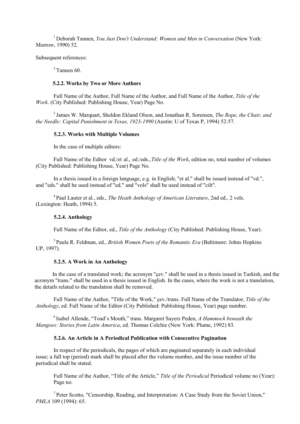1 Deborah Tannen, *You Just Don't Understand: Women and Men in Conversation* (New York: Morrow, 1990) 52.

Subsequent references:

 $2$  Tannen 60.

#### **5.2.2. Works by Two or More Authors**

Full Name of the Author, Full Name of the Author, and Full Name of the Author, *Title of the Work*. (City Published: Publishing House, Year) Page No.

<sup>3</sup>James W. Marquart, Sheldon Ekland Olson, and Jonathan R. Sorensen, *The Rope, the Chair, and the Needle: Capital Punishment in Texas, 1923-1990* (Austin: U of Texas P, 1994) 52-57.

# **5.2.3. Works with Multiple Volumes**

In the case of multiple editors:

Full Name of the Editor vd./et al., ed./eds.,*Title of the Work*, edition no, total number of volumes (City Published: Publishing House, Year) Page No.

In a thesis issued in a foreign language, e.g. in English; "et al." shall be issued instead of "vd.", and "eds." shall be used instead of "ed." and "vols" shall be used instead of "cilt".

4 Paul Lauter et al., eds., *The Heath Anthology of American Literature*, 2nd ed., 2 vols. (Lexington: Heath, 1994) 5.

## **5.2.4. Anthology**

Full Name of the Editor, ed., *Title of the Anthology* (City Published: Publishing House, Year).

5 Paula R. Feldman, ed., *British Women Poets of the Romantic Era* (Baltimore: Johns Hopkins UP, 1997).

# **5.2.5. A Work in An Anthology**

In the case of a translated work; the acronym "çev." shall be used in a thesis issued in Turkish, and the acronym "trans." shall be used in a thesis issued in English. In the cases, where the work is not a translation, the details related to the translation shall be removed.

Full Name of the Author, "Title of the Work," çev./trans. Full Name of the Translator, *Title of the Anthology*, ed. Full Name of the Editor (City Published: Publishing House, Year) page number.

<sup>6</sup> Isabel Allende, "Toad's Mouth," trans. Margaret Sayers Peden, *A Hammock beneath the Mangoes: Stories from Latin America*, ed. Thomas Colchie (New York: Plume, 1992) 83.

# **5.2.6. An Article in A Periodical Publication with Consecutive Pagination**

In respect of the periodicals, the pages of which are paginated separately in each individual issue; a full top (period) mark shall be placed after the volume number, and the issue number of the periodical shall be stated.

Full Name of the Author, "Title of the Article," *Title of the Periodical* Periodical volume no (Year): Page no.

 $<sup>7</sup>$  Peter Scotto, "Censorship, Reading, and Interpretation: A Case Study from the Soviet Union,"</sup> *PMLA* 109 (1994): 65.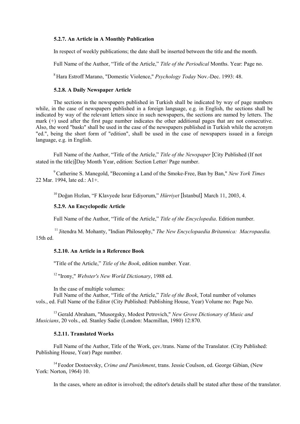# **5.2.7. An Article in A Monthly Publication**

In respect of weekly publications; the date shall be inserted between the title and the month.

Full Name of the Author, "Title of the Article," *Title of the Periodical* Months. Year: Page no.

<sup>8</sup>Hara Estroff Marano, "Domestic Violence," *Psychology Today* Nov.-Dec. 1993: 48.

# **5.2.8. A Daily Newspaper Article**

The sections in the newspapers published in Turkish shall be indicated by way of page numbers while, in the case of newspapers published in a foreign language, e.g. in English, the sections shall be indicated by way of the relevant letters since in such newspapers, the sections are named by letters. The mark (+) used after the first page number indicates the other additional pages that are not consecutive. Also, the word "baskı" shall be used in the case of the newspapers published in Turkish while the acronym "ed.", being the short form of "edition", shall be used in the case of newspapers issued in a foreign language, e.g. in English.

Full Name of the Author, "Title of the Article," *Title of the Newspaper* [City Published (If not stated in the title)]Day Month Year, edition: Section Letter/ Page number.

<sup>9</sup>Catherine S. Manegold, "Becoming a Land of the Smoke-Free, Ban by Ban," *New York Times* 22 Mar. 1994, late ed.: A1+.

<sup>10</sup>Doğan Hızlan, "F Klavyede Israr Ediyorum," *Hürriyet* [İstanbul] March 11, 2003, 4.

## **5.2.9. An Encyclopedic Article**

Full Name of the Author, "Title of the Article," *Title of the Encyclopedia*. Edition number.

<sup>11</sup> Jitendra M. Mohanty, "Indian Philosophy," *The New Encyclopaedia Britannica: Macropaedia.* 15th ed.

# **5.2.10. An Article in a Reference Book**

"Title of the Article," *Title of the Book*, edition number. Year.

12 "Irony," *Webster's New World Dictionary*, 1988 ed.

In the case of multiple volumes:

Full Name of the Author, "Title of the Article," *Title of the Book*, Total number of volumes vols., ed. Full Name of the Editor (City Published: Publishing House, Year) Volume no: Page No.

13 Gerald Abraham, "Musorgsky, Modest Petrovich," *New Grove Dictionary of Music and Musicians*, 20 vols., ed. Stanley Sadie (London: Macmillan, 1980) 12:870.

#### **5.2.11. Translated Works**

Full Name of the Author, Title of the Work, çev./trans. Name of the Translator. (City Published: Publishing House, Year) Page number.

<sup>14</sup> Feodor Dostoevsky, *Crime and Punishment*, trans. Jessie Coulson, ed. George Gibian, (New York: Norton, 1964) 10.

In the cases, where an editor is involved; the editor's details shall be stated after those of the translator.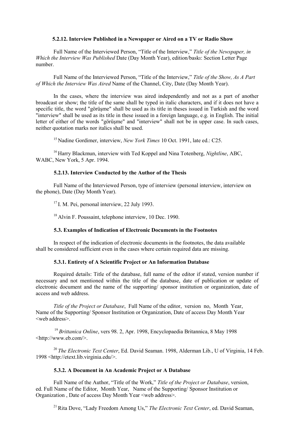# **5.2.12. Interview Published in a Newspaper or Aired on a TV or Radio Show**

Full Name of the Interviewed Person, "Title of the Interview," *Title of the Newspaper, in Which the Interview Was Published* Date (Day Month Year), edition/baskı: Section Letter Page number.

Full Name of the Interviewed Person, "Title of the Interview," *Title of the Show, As A Part of Which the Interview Was Aired* Name of the Channel, City, Date (Day Month Year).

In the cases, where the interview was aired independently and not as a part of another broadcast or show; the title of the same shall be typed in italic characters, and if it does not have a specific title, the word "görüşme" shall be used as its title in theses issued in Turkish and the word "interview" shall be used as its title in these issued in a foreign language, e.g. in English. The initial letter of either of the words "görüşme" and "interview" shall not be in upper case. In such cases, neither quotation marks nor italics shall be used.

<sup>15</sup> Nadine Gordimer, interview, *New York Times* 10 Oct. 1991, late ed.: C25.

<sup>16</sup> Harry Blackmun, interview with Ted Koppel and Nina Totenberg, *Nightline*, ABC, WABC, New York, 5 Apr. 1994.

## **5.2.13. Interview Conducted by the Author of the Thesis**

Full Name of the Interviewed Person, type of interview (personal interview, interview on the phone), Date (Day Month Year).

 $17$  I. M. Pei, personal interview, 22 July 1993.

<sup>18</sup> Alvin F. Poussaint, telephone interview, 10 Dec. 1990.

## **5.3. Examples of Indication of Electronic Documents in the Footnotes**

In respect of the indication of electronic documents in the footnotes, the data available shall be considered sufficient even in the cases where certain required data are missing.

# **5.3.1. Entirety of A Scientific Project or An Information Database**

Required details: Title of the database, full name of the editor if stated, version number if necessary and not mentioned within the title of the database, date of publication or update of electronic document and the name of the supporting/ sponsor institution or organization, date of access and web address.

*Title of the Project or Database*, Full Name of the editor, version no, Month Year, Name of the Supporting/ Sponsor Institution or Organization, Date of access Day Month Year <web address>.

<sup>19</sup>*Brittanica Online*, vers 98. 2, Apr. 1998, Encyclopaedia Britannica, 8 May 1998 [<http://www.eb.com/>](http://www.eb.com/).

<sup>20</sup>*The Electronic Text Center*, Ed. David Seaman. 1998, Alderman Lib., U of Virginia, 14 Feb. [1998 <http://etext.lib.virginia.edu/](http://etext.lib.virginia.edu/)>.

## **5.3.2. A Document in An Academic Project or A Database**

Full Name of the Author, "Title of the Work," *Title of the Project or Database*, version, ed. Full Name of the Editor, Month Year, Name of the Supporting/ Sponsor Institution or Organization , Date of access Day Month Year <web address>.

<sup>21</sup> Rita Dove, "Lady Freedom Among Us," *The Electronic Text Center*, ed. David Seaman,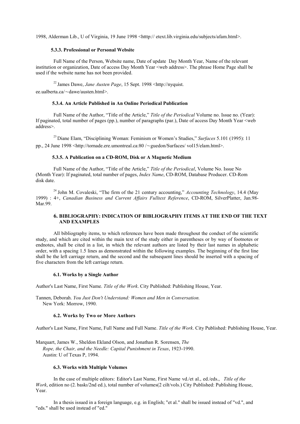1998, Alderman Lib., U of Virginia, 19 June 1998 <htttp:// etext.lib.virginia.edu/subjects/afam.html>.

#### **5.3.3. Professional or Personal Website**

Full Name of the Person, Website name, Date of update Day Month Year, Name of the relevant institution or organization, Date of access Day Month Year <web address>. The phrase Home Page shall be used if the website name has not been provided.

<sup>22</sup>James Dawe, *Jane Austen Page*, 15 Sept. 199[8 <http://nyquist.](http://nyquist/)  ee.ualberta.ca/∼dawe/austen.html>.

#### **5.3.4. An Article Published in An Online Periodical Publication**

Full Name of the Author, "Title of the Article," *Title of the Periodical* Volume no. Issue no. (Year): If paginated, total number of pages (pp.), number of paragraphs (par.), Date of access Day Month Year <web address>.

<sup>23</sup> Diane Elam, "Disciplining Woman: Feminism or Women's Studies," *Surfaces* 5.101 (1995): 11 pp., 24 June 19[98 <http://tornade.ere.umontreal.ca:80 /](http://tornade.ere.umontreal.ca/)∼guedon/Surfaces/ vol15/elam.html>.

#### **5.3.5. A Publication on a CD-ROM, Disk or A Magnetic Medium**

Full Name of the Author, "Title of the Article," *Title of the Periodical*, Volume No. Issue No (Month Year): If paginated, total number of pages, *Index Name*, CD-ROM, Database Producer. CD-Rom disk date.

 $^{24}$  John M. Covaleski, "The firm of the 21 century accounting," *Accounting Technology*, 14.4 (May 1999) : 4+, *Canadian Business and Current Affairs Fulltext Reference*, CD-ROM, SilverPlatter, Jan.98- Mar.99.

## **6. BIBLIOGRAPHY: INDICATION OF BIBLIOGRAPHY ITEMS AT THE END OF THE TEXT AND EXAMPLES**

All bibliography items, to which references have been made throughout the conduct of the scientific study, and which are cited within the main text of the study either in parentheses or by way of footnotes or endnotes, shall be cited in a list, in which the relevant authors are listed by their last names in alphabetic order, with a spacing 1.5 lines as demonstrated within the following examples. The beginning of the first line shall be the left carriage return, and the second and the subsequent lines should be inserted with a spacing of five characters from the left carriage return.

#### **6.1. Works by a Single Author**

Author's Last Name, First Name. *Title of the Work*. City Published: Publishing House, Year.

Tannen, Deborah. *You Just Don't Understand: Women and Men in Conversation.* New York: Morrow, 1990.

## **6.2. Works by Two or More Authors**

Author's Last Name, First Name, Full Name and Full Name. *Title of the Work*. City Published: Publishing House, Year.

Marquart, James W., Sheldon Ekland Olson, and Jonathan R. Sorensen, *The Rope, the Chair, and the Needle: Capital Punishment in Texas*, 1923-1990. Austin: U of Texas P, 1994.

#### **6.3. Works with Multiple Volumes**

In the case of multiple editors: Editor's Last Name, First Name vd./et al., ed./eds., *Title of the Work*, edition no (2. baskı/2nd ed.), total number of volumes(2 cilt/vols.) City Published: Publishing House, Year.

In a thesis issued in a foreign language, e.g. in English; "et al." shall be issued instead of "vd.", and "eds." shall be used instead of "ed."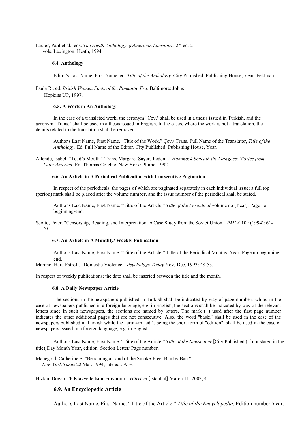Lauter, Paul et al., eds. *The Heath Anthology ofAmerican Literature*. 2nd ed. 2 vols. Lexington: Heath, 1994.

#### **6.4. Anthology**

Editor's Last Name, First Name, ed. *Title of the Anthology*. City Published: Publishing House, Year. Feldman,

Paula R., ed. *British Women Poets of the Romantic Era*. Baltimore: Johns Hopkins UP, 1997.

#### **6.5. A Work in An Anthology**

In the case of a translated work; the acronym "Çev." shall be used in a thesis issued in Turkish, and the acronym "Trans." shall be used in a thesis issued in English. In the cases, where the work is not a translation, the details related to the translation shall be removed.

Author's Last Name, First Name. "Title of the Work." Çev./ Trans. Full Name of the Translator, *Title of the Anthology*. Ed. Full Name of the Editor. City Published: Publishing House, Year.

Allende, Isabel. "Toad's Mouth." Trans. Margaret Sayers Peden. *A Hammock beneath the Mangoes: Stories from Latin America*. Ed. Thomas Colchie. New York: Plume, 1992.

#### **6.6. An Article in A Periodical Publication with Consecutive Pagination**

In respect of the periodicals, the pages of which are paginated separately in each individual issue; a full top (period) mark shall be placed after the volume number, and the issue number of the periodical shall be stated.

Author's Last Name, First Name. "Title of the Article," *Title of the Periodical* volume no (Year): Page no beginning-end.

Scotto, Peter. "Censorship, Reading, and Interpretation: ACase Study from the Soviet Union." *PMLA* 109 (1994): 61- 70.

#### **6.7. An Article in A Monthly/ Weekly Publication**

Author's Last Name, First Name. "Title of the Article," Title of the Periodical Months. Year: Page no beginningend.

Marano, Hara Estroff. "Domestic Violence." *Psychology Today* Nov.-Dec. 1993: 48-53.

In respect of weekly publications; the date shall be inserted between the title and the month.

#### **6.8. A Daily Newspaper Article**

The sections in the newspapers published in Turkish shall be indicated by way of page numbers while, in the case of newspapers published in a foreign language, e.g. in English, the sections shall be indicated by way of the relevant letters since in such newspapers, the sections are named by letters. The mark (+) used after the first page number indicates the other additional pages that are not consecutive. Also, the word "baskı" shall be used in the case of the newspapers published in Turkish while the acronym "ed.", being the short form of "edition", shall be used in the case of newspapers issued in a foreign language, e.g. in English.

Author's Last Name, First Name. "Title of the Article." *Title of the Newspaper* [City Published (If not stated in the title)]Day Month Year, edition: Section Letter/ Page number.

Manegold, Catherine S. "Becoming a Land of the Smoke-Free, Ban by Ban."  *New York Times* 22 Mar. 1994, late ed.: A1+.

Hızlan, Doğan. "F Klavyede Israr Ediyorum." *Hürriyet* [İstanbul] March 11, 2003, 4.

#### **6.9. An Encyclopedic Article**

Author's Last Name, First Name. "Title of the Article." *Title of the Encyclopedia*. Edition number Year.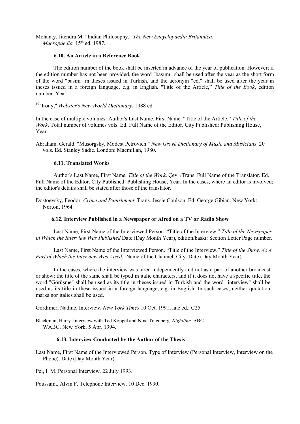Mohanty, Jitendra M. "Indian Philosophy." *The New Encyclopaedia Britannica:*  Macropaedia. 15<sup>th</sup> ed. 1987.

# **6.10. An Article in a Reference Book**

The edition number of the book shall be inserted in advance of the year of publication. However; if the edition number has not been provided, the word "basımı" shall be used after the year as the short form of the word "basım" in theses issued in Turkish, and the acronym "ed." shall be used after the year in theses issued in a foreign language, e.g. in English. "Title of the Article," *Title of the Book*, edition number. Year.

10"Irony," *Webster's New World Dictionary*, 1988 ed.

In the case of multiple volumes: Author's Last Name, First Name. "Title of the Article." *Title of the Work*. Total number of volumes vols. Ed. Full Name of the Editor. City Published: Publishing House, Year.

Abraham, Gerald. "Musorgsky, Modest Petrovich." *New Grove Dictionary of Music and Musicians*. 20 vols. Ed. Stanley Sadie. London: Macmillan, 1980.

# **6.11. Translated Works**

Author's Last Name, First Name. *Title of the Work*. Çev. /Trans. Full Name of the Translator. Ed. Full Name of the Editor. City Published: Publishing House, Year. In the cases, where an editor is involved; the editor's details shall be stated after those of the translator.

Dostoevsky, Feodor. *Crime and Punishment*. Trans. Jessie Coulson. Ed. George Gibian. New York: Norton, 1964.

#### **6.12. Interview Published in a Newspaper or Aired on a TV or Radio Show**

Last Name, First Name of the Interviewed Person. "Title of the Interview." *Title of the Newspaper, in Which the Interview Was Published* Date (Day Month Year), edition/baskı: Section Letter Page number.

Last Name, First Name of the Interviewed Person. "Title of the Interview." *Title of the Show, As A Part of Which the Interview Was Aired.* Name of the Channel, City. Date (Day Month Year).

In the cases, where the interview was aired independently and not as a part of another broadcast or show; the title of the same shall be typed in italic characters, and if it does not have a specific title, the word "Görüşme" shall be used as its title in theses issued in Turkish and the word "interview" shall be used as its title in these issued in a foreign language, e.g. in English. In such cases, neither quotation marks nor italics shall be used.

Gordimer, Nadine. Interview. *New York Times* 10 Oct. 1991, late ed.: C25.

Blackmun, Harry. Interview with Ted Koppel and Nina Totenberg. *Nightline*. ABC. WABC, New York. 5 Apr. 1994.

## **6.13. Interview Conducted by the Author of the Thesis**

Last Name, First Name of the Interviewed Person. Type of Interview (Personal Interview, Interview on the Phone). Date (Day Month Year).

Pei, I. M. Personal Interview. 22 July 1993.

Poussaint, Alvin F. Telephone Interview. 10 Dec. 1990.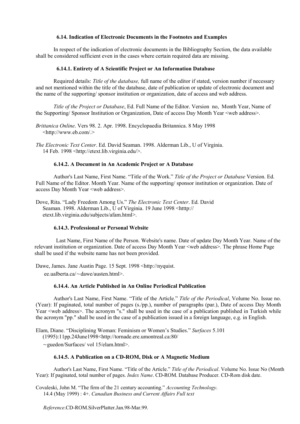# **6.14. Indication of Electronic Documents in the Footnotes and Examples**

In respect of the indication of electronic documents in the Bibliography Section, the data available shall be considered sufficient even in the cases where certain required data are missing.

# **6.14.1. Entirety of A Scientific Project or An Information Database**

Required details: *Title of the database,* full name of the editor if stated, version number if necessary and not mentioned within the title of the database, date of publication or update of electronic document and the name of the supporting/ sponsor institution or organization, date of access and web address.

*Title of the Project or Database*, Ed. Full Name of the Editor. Version no, Month Year, Name of the Supporting/ Sponsor Institution or Organization, Date of access Day Month Year <web address>.

*Brittanica Online*. Vers 98. 2. Apr. 1998. Encyclopaedia Britannica. 8 May 1998 [<http://www.eb.com/.](http://www.eb.com/)>

*The Electronic Text Center*. Ed. David Seaman. 1998. Alderman Lib., U of Virginia. 14 Feb. 1998 [<http://etext.lib.virginia.edu/](http://etext.lib.virginia.edu/)>.

# **6.14.2. A Document in An Academic Project or A Database**

Author's Last Name, First Name. "Title of the Work." *Title of the Project or Database* Version. Ed. Full Name of the Editor. Month Year. Name of the supporting/ sponsor institution or organization. Date of access Day Month Year <web address>.

Dove, Rita. "Lady Freedom Among Us." *The Electronic Text Center*. Ed. David Seaman. 1998. Alderman Lib., U of Virginia. 19 June 1998 <htttp:// etext.lib.virginia.edu/subjects/afam.html>.

# **6.14.3. Professional or Personal Website**

Last Name, First Name of the Person. Website's name. Date of update Day Month Year. Name of the relevant institution or organization. Date of access Day Month Year <web address>. The phrase Home Page shall be used if the website name has not been provided.

Dawe, James. Jane Austin Page. 15 Sept. 1998 [<http://nyquist.](http://nyquist/)

ee.ualberta.ca/∼dawe/austen.html>.

# **6.14.4. An Article Published in An Online Periodical Publication**

Author's Last Name, First Name. "Title of the Article." *Title of the Periodical*, Volume No. Issue no. (Year): If paginated, total number of pages (s./pp.), number of paragraphs (par.), Date of access Day Month Year <web address>. The acronym "s." shall be used in the case of a publication published in Turkish while the acronym "pp." shall be used in the case of a publication issued in a foreign language, e.g. in English.

Elam, Diane. "Disciplining Woman: Feminism or Women's Studies." *Surfaces* 5.101

(1995):11pp.24June199[8<http://tornade.ere.umontreal.ca:80/](http://tornade.ere.umontreal.ca/)

∼guedon/Surfaces/ vol 15/elam.html>.

# **6.14.5. A Publication on a CD-ROM, Disk or A Magnetic Medium**

Author's Last Name, First Name. "Title of the Article." *Title of the Periodical*. Volume No. Issue No (Month Year): If paginated, total number of pages. *Index Name*. CD-ROM. Database Producer. CD-Rom disk date.

Covaleski, John M. "The firm of the 21 century accounting." *Accounting Technology*. 14.4 (May 1999) : 4+. *Canadian Business and Current Affairs Full text*

*Reference*.CD-ROM.SilverPlatter.Jan.98-Mar.99.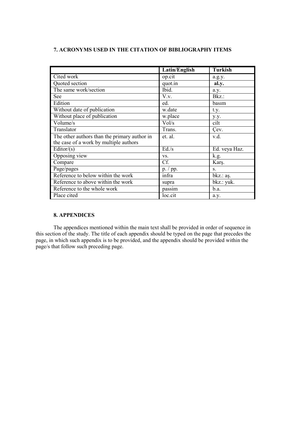# **7. ACRONYMS USED IN THE CITATION OF BIBLIOGRAPHY ITEMS**

|                                              | Latin/English | <b>Turkish</b> |
|----------------------------------------------|---------------|----------------|
| Cited work                                   | op.cit        | a.g.y.         |
| Quoted section                               | quot.in       | al.y.          |
| The same work/section                        | Ibid.         | a.y.           |
| See                                          | V.v.          | $Bkz$ :        |
| Edition                                      | ed.           | basım          |
| Without date of publication                  | w.date        | t.y.           |
| Without place of publication                 | w.place       | y.y.           |
| Volume/s                                     | Vol/s         | cilt           |
| Translator                                   | Trans.        | Cev.           |
| The other authors than the primary author in | et. al.       | v.d.           |
| the case of a work by multiple authors       |               |                |
| Editor/ $(s)$                                | Ed/s          | Ed. veya Haz.  |
| Opposing view                                | VS.           | k.g.           |
| Compare                                      | Cf.           | Karş.          |
| Page/pages                                   | p. / pp.      | S.             |
| Reference to below within the work           | infra         | bkz.: aş.      |
| Reference to above within the work           | supra         | bkz.: yuk.     |
| Reference to the whole work                  | passim        | b.a.           |
| Place cited                                  | loc.cit       | a.y.           |

# **8. APPENDICES**

The appendices mentioned within the main text shall be provided in order of sequence in this section of the study. The title of each appendix should be typed on the page that precedes the page, in which such appendix is to be provided, and the appendix should be provided within the page/s that follow such preceding page.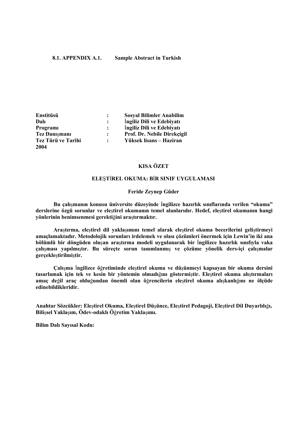## **8.1. APPENDIX A.1. Sample Abstract in Turkish**

| Enstitüsü            |                      | <b>Sosyal Bilimler Anabilim</b> |
|----------------------|----------------------|---------------------------------|
| Dalı                 |                      | Ingiliz Dili ve Edebiyatı       |
| Programi             | $\ddot{\phantom{a}}$ | Ingiliz Dili ve Edebiyatı       |
| <b>Tez Danışmanı</b> | $\ddot{\phantom{a}}$ | Prof. Dr. Nebile Direkçigil     |
| Tez Türü ve Tarihi   | $\ddot{\cdot}$       | Yüksek lisans – Haziran         |
| 2004                 |                      |                                 |

# **KISA ÖZET**

## **ELE**Ş**T**İ**REL OKUMA: B**İ**R SINIF UYGULAMASI**

#### **Feride Zeynep Güder**

**Bu çalı**ş**manın konusu üniversite düzeyinde** İ**ngilizce hazırlık sınıflarında verilen "okuma" derslerine özgü sorunlar ve ele**ş**tirel okumanın temel alanlarıdır. Hedef, ele**ş**tirel okumanın hangi yönlerinin benimsenmesi gerekti**ğ**ini ara**ş**tırmaktır.**

**Ara**ş**tırma, ele**ş**tirel dil yakla**ş**ımını temel alarak ele**ş**tirel okuma becerilerini geli**ş**tirmeyi amaçlamaktadır. Metodolojik sorunları irdelemek ve olası çözümleri önermek için Lewin'in iki ana bölümlü bir döngüden olu**ş**an ara**ş**tırma modeli uygulanarak bir** İ**ngilizce hazırlık sınıfıyla vaka çalı**ş**ması yapılmı**ş**tır. Bu süreçte sorun tanımlanmı**ş **ve çözüme yönelik ders-içi çalı**ş**malar gerçekle**ş**tirilmi**ş**tir.**

**Çalı**ş**ma** İ**ngilizce ö**ğ**retiminde ele**ş**tirel okuma ve dü**ş**ünmeyi kapsayan bir okuma dersini tasarlamak için tek ve kesin bir yöntemin olmadı**ğ**ını göstermi**ş**tir. Ele**ş**tirel okuma alı**ş**tırmaları amaç de**ğ**il araç oldu**ğ**undan önemli olan ö**ğ**rencilerin ele**ş**tirel okuma alı**ş**kanlı**ğ**ını ne ölçüde edinebildikleridir.**

**Anahtar Sözcükler: Ele**ş**tirel Okuma, Ele**ş**tirel Dü**ş**ünce, Ele**ş**tirel Pedagoji, Ele**ş**tirel Dil Duyarlılı**ğ**ı, Bili**ş**sel Yakla**ş**ım, Ödev-odaklı Ö**ğ**retim Yakla**ş**ımı.**

**Bilim Dalı Sayısal Kodu:**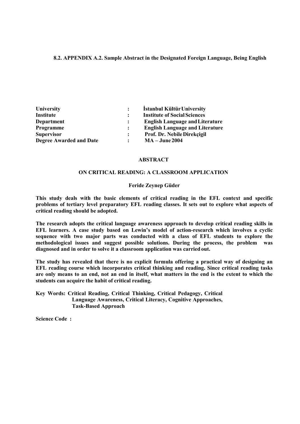# **8.2. APPENDIX A.2. Sample Abstract in the Designated Foreign Language, Being English**

| University                     |                | İstanbul Kültür University             |
|--------------------------------|----------------|----------------------------------------|
| <b>Institute</b>               | $\ddot{\cdot}$ | <b>Institute of Social Sciences</b>    |
| <b>Department</b>              | $\ddot{\cdot}$ | <b>English Language and Literature</b> |
| Programme                      | $\mathbf{L}$   | <b>English Language and Literature</b> |
| <b>Supervisor</b>              | $\ddot{\cdot}$ | Prof. Dr. Nebile Direkçigil            |
| <b>Degree Awarded and Date</b> |                | $MA - June 2004$                       |

## **ABSTRACT**

# **ON CRITICAL READING: A CLASSROOM APPLICATION**

## **Feride Zeynep Güder**

**This study deals with the basic elements of critical reading in the EFL context and specific problems of tertiary level preparatory EFL reading classes. It sets out to explore what aspects of critical reading should be adopted.**

**The research adopts the critical language awareness approach to develop critical reading skills in EFL learners. A case study based on Lewin's model of action-research which involves a cyclic sequence with two major parts was conducted with a class of EFL students to explore the methodological issues and suggest possible solutions. During the process, the problem was diagnosed and in order to solve it a classroom application was carried out.**

**The study has revealed that there is no explicit formula offering a practical way of designing an EFL reading course which incorporates critical thinking and reading. Since critical reading tasks are only means to an end, not an end in itself, what matters in the end is the extent to which the students can acquire the habit of critical reading.**

**Key Words: Critical Reading, Critical Thinking, Critical Pedagogy, Critical Language Awareness, Critical Literacy, Cognitive Approaches, Task-Based Approach**

**Science Code :**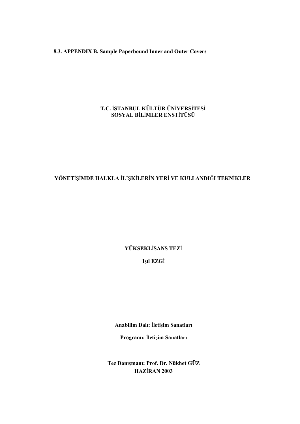**8.3. APPENDIX B. Sample Paperbound Inner and Outer Covers** 

# **T.C.** İ**STANBUL KÜLTÜR ÜN**İ**VERS**İ**TES**İ **SOSYAL B**İ**L**İ**MLER ENST**İ**TÜSÜ**

# **YÖNET**İŞİ**MDE HALKLA** İ**L**İŞ**K**İ**LER**İ**N YER**İ **VE KULLANDI**Ğ**I TEKN**İ**KLER**

**YÜKSEKL**İ**SANS TEZ**İ

**I**ş**ıl EZG**İ

**Anabilim Dalı:** İ**leti**ş**im Sanatları** 

**Programı:** İ**leti**ş**im Sanatları**

**Tez Danı**ş**manı: Prof. Dr. Nükhet GÜZ HAZ**İ**RAN 2003**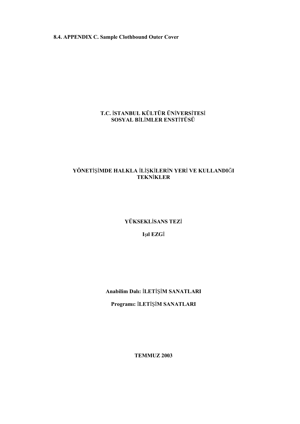**8.4. APPENDIX C. Sample Clothbound Outer Cover** 

# **T.C.** İ**STANBUL KÜLTÜR ÜN**İ**VERS**İ**TES**İ **SOSYAL B**İ**L**İ**MLER ENST**İ**TÜSÜ**

# **YÖNET**İŞİ**MDE HALKLA** İ**L**İŞ**K**İ**LER**İ**N YER**İ **VE KULLANDI**Ğ**I TEKN**İ**KLER**

**YÜKSEKL**İ**SANS TEZ**İ

**I**ş**ıl EZG**İ

**Anabilim Dalı:** İ**LET**İŞİ**M SANATLARI** 

**Programı:** İ**LET**İŞİ**M SANATLARI**

**TEMMUZ 2003**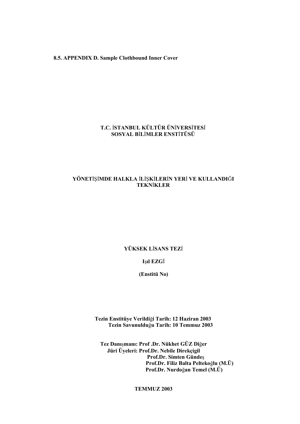# **8.5. APPENDIX D. Sample Clothbound Inner Cover**

# **T.C.** İ**STANBUL KÜLTÜR ÜN**İ**VERS**İ**TES**İ **SOSYAL B**İ**L**İ**MLER ENST**İ**TÜSÜ**

# **YÖNET**İŞİ**MDE HALKLA** İ**L**İŞ**K**İ**LER**İ**N YER**İ **VE KULLANDI**Ğ**I TEKN**İ**KLER**

# **YÜKSEK L**İ**SANS TEZ**İ

# **I**ş**ıl EZG**İ

# **(Enstitü No)**

# **Tezin Enstitüye Verildi**ğ**i Tarih: 12 Haziran 2003 Tezin Savunuldu**ğ**u Tarih: 10 Temmuz 2003**

**Tez Danı**ş**manı: Prof .Dr. Nükhet GÜZ Di**ğ**er Jüri Üyeleri: Prof.Dr. Nebile Direkçigil Prof.Dr. Simten Günde**ş **Prof.Dr. Filiz Balta Pelteko**ğ**lu (M.Ü) Prof.Dr. Nurdo**ğ**an Temel (M.Ü)**

**TEMMUZ 2003**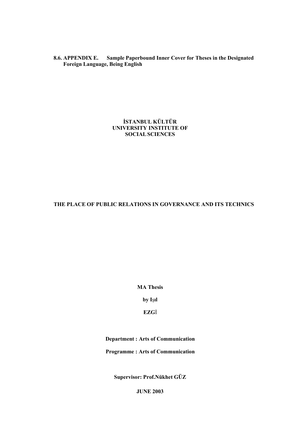**8.6. APPENDIX E. Sample Paperbound Inner Cover for Theses in the Designated Foreign Language, Being English**

> **İSTANBUL KÜLTÜR UNIVERSITY INSTITUTE OF SOCIALSCIENCES**

# **THE PLACE OF PUBLIC RELATIONS IN GOVERNANCE AND ITS TECHNICS**

**MA Thesis** 

**by I**ş**ıl** 

**EZG**İ

**Department : Arts of Communication** 

**Programme : Arts of Communication**

**Supervisor: Prof.Nükhet GÜZ**

**JUNE 2003**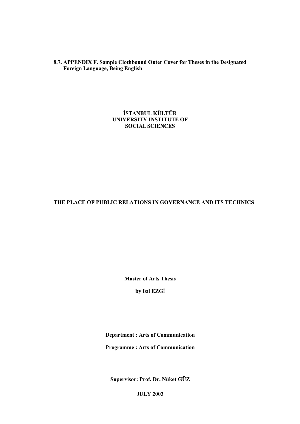**8.7. APPENDIX F. Sample Clothbound Outer Cover for Theses in the Designated Foreign Language, Being English**

> **İSTANBUL KÜLTÜR UNIVERSITY INSTITUTE OF SOCIALSCIENCES**

# **THE PLACE OF PUBLIC RELATIONS IN GOVERNANCE AND ITS TECHNICS**

**Master of Arts Thesis** 

**by I**ş**ıl EZG**İ

**Department : Arts of Communication Programme : Arts of Communication**

**Supervisor: Prof. Dr. Nüket GÜZ**

**JULY 2003**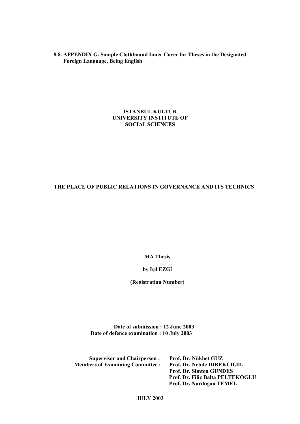**8.8. APPENDIX G. Sample Clothbound Inner Cover for Theses in the Designated Foreign Language, Being English** 

# **İSTANBUL KÜLTÜR UNIVERSITY INSTITUTE OF SOCIALSCIENCES**

# **THE PLACE OF PUBLIC RELATIONS IN GOVERNANCE AND ITS TECHNICS**

**MA Thesis** 

# **by I**ş**ıl EZG**İ

**(Registration Number)**

**Date of submission : 12 June 2003 Date of defence examination : 10 July 2003**

| <b>Supervisor and Chairperson:</b>     | Prof. Dr. Nükhet GUZ               |
|----------------------------------------|------------------------------------|
| <b>Members of Examining Committee:</b> | <b>Prof. Dr. Nebile DIREKCIGIL</b> |
|                                        | <b>Prof. Dr. Simten GUNDES</b>     |
|                                        | Prof. Dr. Filiz Balta PELTEKOGLU   |
|                                        | Prof. Dr. Nurdoğan TEMEL           |
|                                        |                                    |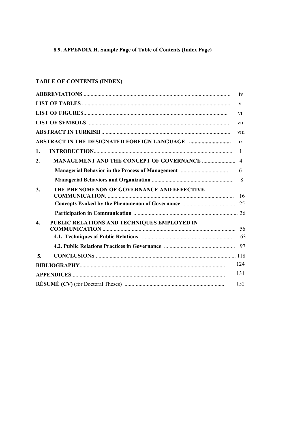# 8.9. APPENDIX H. Sample Page of Table of Contents (Index Page)

# TABLE OF CONTENTS (INDEX)

|                                                                 | iv             |
|-----------------------------------------------------------------|----------------|
|                                                                 | V              |
|                                                                 | V1             |
|                                                                 | <b>V11</b>     |
|                                                                 | <b>V111</b>    |
|                                                                 | 1X             |
| 1.                                                              | $\overline{1}$ |
| 2.                                                              | $\overline{4}$ |
|                                                                 | 6              |
|                                                                 | 8              |
| THE PHENOMENON OF GOVERNANCE AND EFFECTIVE<br>3.                | - 16           |
|                                                                 | 25             |
|                                                                 |                |
| PUBLIC RELATIONS AND TECHNIQUES EMPLOYED IN<br>$\overline{4}$ . |                |
|                                                                 |                |
|                                                                 |                |
| 5.                                                              |                |
|                                                                 | 124            |
|                                                                 | 131            |
|                                                                 | 152            |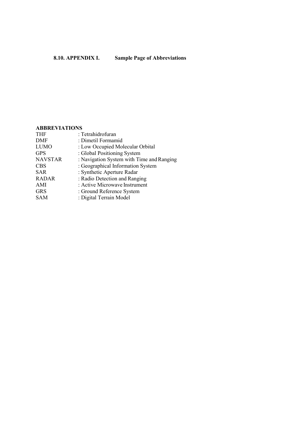# **ABBREVIATIONS**

| <b>THF</b>     | : Tetrahidrofuran                         |
|----------------|-------------------------------------------|
| <b>DMF</b>     | : Dimetil Formamid                        |
| <b>LUMO</b>    | : Low Occupied Molecular Orbital          |
| <b>GPS</b>     | : Global Positioning System               |
| <b>NAVSTAR</b> | : Navigation System with Time and Ranging |
| <b>CBS</b>     | : Geographical Information System         |
| <b>SAR</b>     | : Synthetic Aperture Radar                |
| <b>RADAR</b>   | : Radio Detection and Ranging             |
| AMI            | : Active Microwave Instrument             |
| <b>GRS</b>     | : Ground Reference System                 |
| <b>SAM</b>     | : Digital Terrain Model                   |
|                |                                           |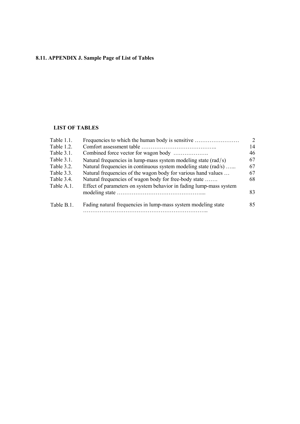# **8.11. APPENDIX J. Sample Page of List of Tables**

# **LIST OF TABLES**

| Table 1.1. | Frequencies to which the human body is sensitive                                    | $\overline{2}$ |
|------------|-------------------------------------------------------------------------------------|----------------|
| Table 1.2. |                                                                                     | 14             |
| Table 3.1. |                                                                                     | 46             |
| Table 3.1. | Natural frequencies in lump-mass system modeling state $\left(\frac{rad}{s}\right)$ | 67             |
| Table 3.2. | Natural frequencies in continuous system modeling state (rad/s)                     | 67             |
| Table 3.3. | Natural frequencies of the wagon body for various hand values                       | 67             |
| Table 3.4. | Natural frequencies of wagon body for free-body state                               | 68             |
| Table A.1. | Effect of parameters on system behavior in fading lump-mass system                  |                |
|            |                                                                                     | 83             |
| Table B.1. | Fading natural frequencies in lump-mass system modeling state                       | 85             |
|            |                                                                                     |                |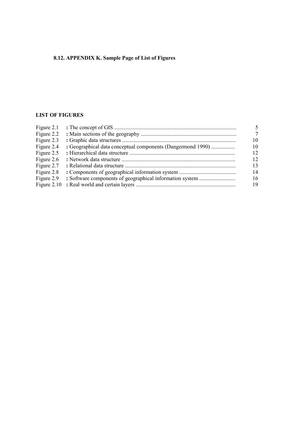# **8.12. APPENDIX K. Sample Page of List of Figures**

# **LIST OF FIGURES**

| Figure 2.1 |                                                             |                 |
|------------|-------------------------------------------------------------|-----------------|
|            |                                                             |                 |
| Figure 2.3 |                                                             | 10              |
| Figure 2.4 | : Geographical data conceptual components (Dangermond 1990) | 10              |
| Figure 2.5 |                                                             | 12              |
| Figure 2.6 |                                                             | 12 <sup>°</sup> |
| Figure 2.7 |                                                             | 13              |
| Figure 2.8 |                                                             | 14              |
| Figure 2.9 |                                                             | 16              |
|            |                                                             | 19              |
|            |                                                             |                 |